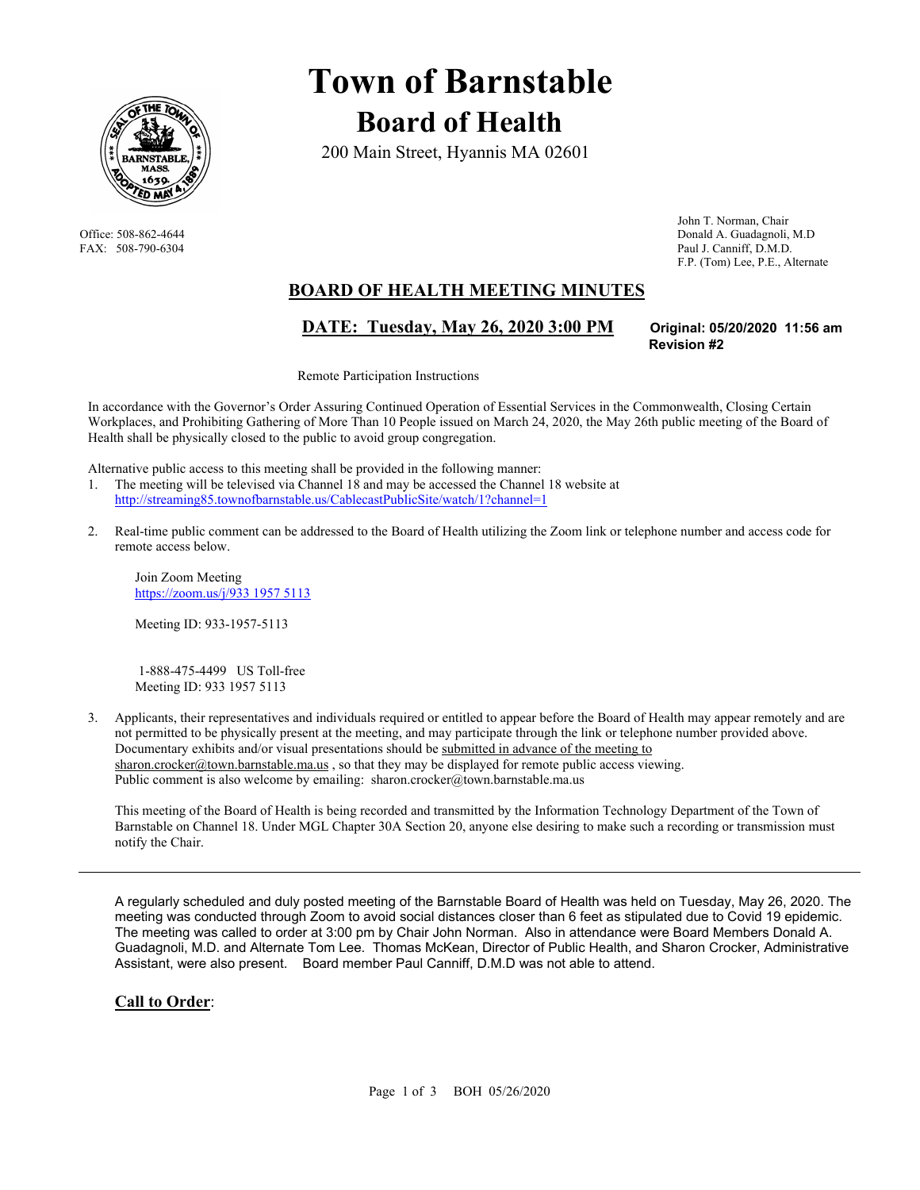

# **Town of Barnstable Board of Health**

200 Main Street, Hyannis MA 02601

 John T. Norman, Chair Office: 508-862-4644 Donald A. Guadagnoli, M.D FAX: 508-790-6304 Paul J. Canniff, D.M.D. F.P. (Tom) Lee, P.E., Alternate

## **BOARD OF HEALTH MEETING MINUTES**

## **DATE: Tuesday, May 26, 2020 3:00 PM Original: 05/20/2020 11:56 am**

**Revision #2** 

Remote Participation Instructions

In accordance with the Governor's Order Assuring Continued Operation of Essential Services in the Commonwealth, Closing Certain Workplaces, and Prohibiting Gathering of More Than 10 People issued on March 24, 2020, the May 26th public meeting of the Board of Health shall be physically closed to the public to avoid group congregation.

Alternative public access to this meeting shall be provided in the following manner:

- 1. The meeting will be televised via Channel 18 and may be accessed the Channel 18 website at http://streaming85.townofbarnstable.us/CablecastPublicSite/watch/1?channel=1
- 2. Real-time public comment can be addressed to the Board of Health utilizing the Zoom link or telephone number and access code for remote access below.

Join Zoom Meeting https://zoom.us/j/933 1957 5113

Meeting ID: 933-1957-5113

 1-888-475-4499 US Toll-free Meeting ID: 933 1957 5113

3. Applicants, their representatives and individuals required or entitled to appear before the Board of Health may appear remotely and are not permitted to be physically present at the meeting, and may participate through the link or telephone number provided above. Documentary exhibits and/or visual presentations should be submitted in advance of the meeting to sharon.crocker@town.barnstable.ma.us, so that they may be displayed for remote public access viewing. Public comment is also welcome by emailing: sharon.crocker@town.barnstable.ma.us

This meeting of the Board of Health is being recorded and transmitted by the Information Technology Department of the Town of Barnstable on Channel 18. Under MGL Chapter 30A Section 20, anyone else desiring to make such a recording or transmission must notify the Chair.

A regularly scheduled and duly posted meeting of the Barnstable Board of Health was held on Tuesday, May 26, 2020. The meeting was conducted through Zoom to avoid social distances closer than 6 feet as stipulated due to Covid 19 epidemic. The meeting was called to order at 3:00 pm by Chair John Norman. Also in attendance were Board Members Donald A. Guadagnoli, M.D. and Alternate Tom Lee. Thomas McKean, Director of Public Health, and Sharon Crocker, Administrative Assistant, were also present. Board member Paul Canniff, D.M.D was not able to attend.

#### **Call to Order**: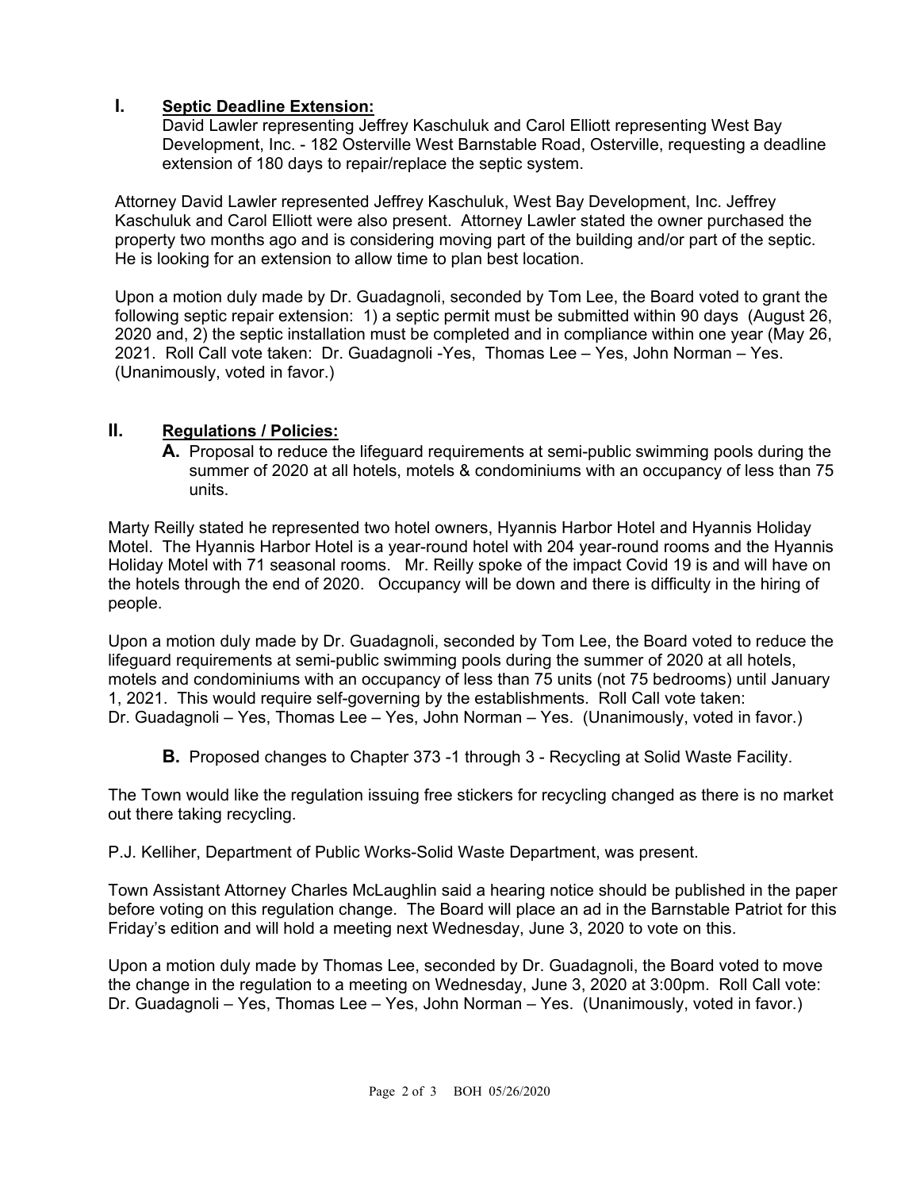#### **I. Septic Deadline Extension:**

David Lawler representing Jeffrey Kaschuluk and Carol Elliott representing West Bay Development, Inc. - 182 Osterville West Barnstable Road, Osterville, requesting a deadline extension of 180 days to repair/replace the septic system.

Attorney David Lawler represented Jeffrey Kaschuluk, West Bay Development, Inc. Jeffrey Kaschuluk and Carol Elliott were also present. Attorney Lawler stated the owner purchased the property two months ago and is considering moving part of the building and/or part of the septic. He is looking for an extension to allow time to plan best location.

Upon a motion duly made by Dr. Guadagnoli, seconded by Tom Lee, the Board voted to grant the following septic repair extension: 1) a septic permit must be submitted within 90 days (August 26, 2020 and, 2) the septic installation must be completed and in compliance within one year (May 26, 2021. Roll Call vote taken: Dr. Guadagnoli -Yes, Thomas Lee – Yes, John Norman – Yes. (Unanimously, voted in favor.)

#### **II. Regulations / Policies:**

**A.** Proposal to reduce the lifeguard requirements at semi-public swimming pools during the summer of 2020 at all hotels, motels & condominiums with an occupancy of less than 75 units.

Marty Reilly stated he represented two hotel owners, Hyannis Harbor Hotel and Hyannis Holiday Motel. The Hyannis Harbor Hotel is a year-round hotel with 204 year-round rooms and the Hyannis Holiday Motel with 71 seasonal rooms. Mr. Reilly spoke of the impact Covid 19 is and will have on the hotels through the end of 2020. Occupancy will be down and there is difficulty in the hiring of people.

Upon a motion duly made by Dr. Guadagnoli, seconded by Tom Lee, the Board voted to reduce the lifeguard requirements at semi-public swimming pools during the summer of 2020 at all hotels, motels and condominiums with an occupancy of less than 75 units (not 75 bedrooms) until January 1, 2021. This would require self-governing by the establishments. Roll Call vote taken: Dr. Guadagnoli – Yes, Thomas Lee – Yes, John Norman – Yes. (Unanimously, voted in favor.)

**B.** Proposed changes to Chapter 373 -1 through 3 - Recycling at Solid Waste Facility.

The Town would like the regulation issuing free stickers for recycling changed as there is no market out there taking recycling.

P.J. Kelliher, Department of Public Works-Solid Waste Department, was present.

Town Assistant Attorney Charles McLaughlin said a hearing notice should be published in the paper before voting on this regulation change. The Board will place an ad in the Barnstable Patriot for this Friday's edition and will hold a meeting next Wednesday, June 3, 2020 to vote on this.

Upon a motion duly made by Thomas Lee, seconded by Dr. Guadagnoli, the Board voted to move the change in the regulation to a meeting on Wednesday, June 3, 2020 at 3:00pm. Roll Call vote: Dr. Guadagnoli – Yes, Thomas Lee – Yes, John Norman – Yes. (Unanimously, voted in favor.)